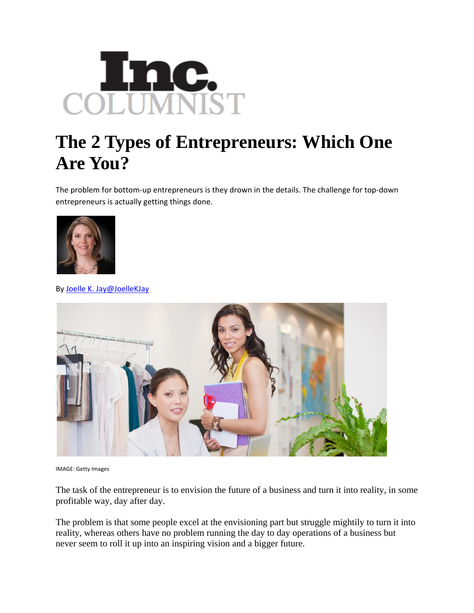

## **The 2 Types of Entrepreneurs: Which One Are You?**

The problem for bottom‐up entrepreneurs is they drown in the details. The challenge for top‐down entrepreneurs is actually getting things done.



By [Joelle](http://www.inc.com/author/joelle-k-jay) K. Jay[@JoelleKJay](http://www.twitter.com/JoelleKJay)



IMAGE: Getty Images

The task of the entrepreneur is to envision the future of a business and turn it into reality, in some profitable way, day after day.

The problem is that some people excel at the envisioning part but struggle mightily to turn it into reality, whereas others have no problem running the day to day operations of a business but never seem to roll it up into an inspiring vision and a bigger future.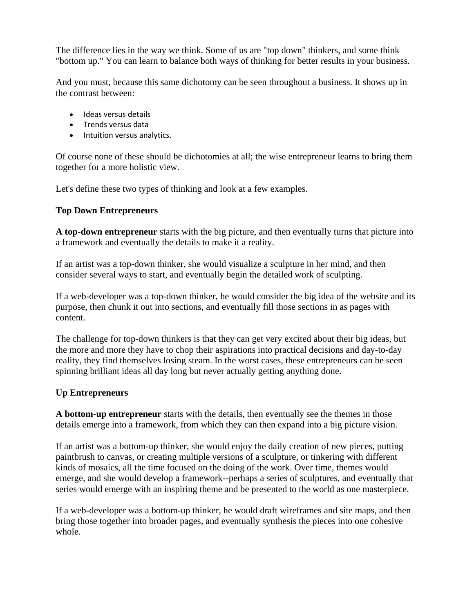The difference lies in the way we think. Some of us are "top down" thinkers, and some think "bottom up." You can learn to balance both ways of thinking for better results in your business.

And you must, because this same dichotomy can be seen throughout a business. It shows up in the contrast between:

- Ideas versus details
- Trends versus data
- Intuition versus analytics.

Of course none of these should be dichotomies at all; the wise entrepreneur learns to bring them together for a more holistic view.

Let's define these two types of thinking and look at a few examples.

## **Top Down Entrepreneurs**

**A top-down entrepreneur** starts with the big picture, and then eventually turns that picture into a framework and eventually the details to make it a reality.

If an artist was a top-down thinker, she would visualize a sculpture in her mind, and then consider several ways to start, and eventually begin the detailed work of sculpting.

If a web-developer was a top-down thinker, he would consider the big idea of the website and its purpose, then chunk it out into sections, and eventually fill those sections in as pages with content.

The challenge for top-down thinkers is that they can get very excited about their big ideas, but the more and more they have to chop their aspirations into practical decisions and day-to-day reality, they find themselves losing steam. In the worst cases, these entrepreneurs can be seen spinning brilliant ideas all day long but never actually getting anything done.

## **Up Entrepreneurs**

**A bottom-up entrepreneur** starts with the details, then eventually see the themes in those details emerge into a framework, from which they can then expand into a big picture vision.

If an artist was a bottom-up thinker, she would enjoy the daily creation of new pieces, putting paintbrush to canvas, or creating multiple versions of a sculpture, or tinkering with different kinds of mosaics, all the time focused on the doing of the work. Over time, themes would emerge, and she would develop a framework--perhaps a series of sculptures, and eventually that series would emerge with an inspiring theme and be presented to the world as one masterpiece.

If a web-developer was a bottom-up thinker, he would draft wireframes and site maps, and then bring those together into broader pages, and eventually synthesis the pieces into one cohesive whole.